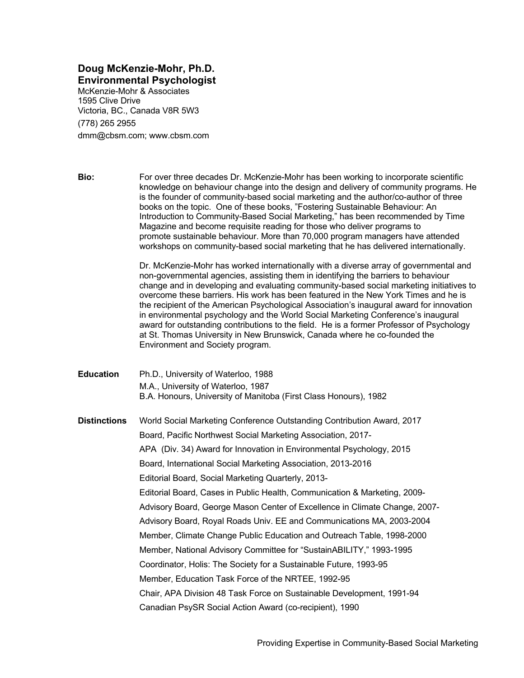## **Doug McKenzie-Mohr, Ph.D. Environmental Psychologist**

McKenzie-Mohr & Associates 1595 Clive Drive Victoria, BC., Canada V8R 5W3 (778) 265 2955 dmm@cbsm.com; www.cbsm.com

**Bio:** For over three decades Dr. McKenzie-Mohr has been working to incorporate scientific knowledge on behaviour change into the design and delivery of community programs. He is the founder of community-based social marketing and the author/co-author of three books on the topic. One of these books, "Fostering Sustainable Behaviour: An Introduction to Community-Based Social Marketing," has been recommended by Time Magazine and become requisite reading for those who deliver programs to promote sustainable behaviour. More than 70,000 program managers have attended workshops on community-based social marketing that he has delivered internationally.

> Dr. McKenzie-Mohr has worked internationally with a diverse array of governmental and non-governmental agencies, assisting them in identifying the barriers to behaviour change and in developing and evaluating community-based social marketing initiatives to overcome these barriers. His work has been featured in the New York Times and he is the recipient of the American Psychological Association's inaugural award for innovation in environmental psychology and the World Social Marketing Conference's inaugural award for outstanding contributions to the field. He is a former Professor of Psychology at St. Thomas University in New Brunswick, Canada where he co-founded the Environment and Society program.

**Education** Ph.D., University of Waterloo, 1988 M.A., University of Waterloo, 1987 B.A. Honours, University of Manitoba (First Class Honours), 1982

**Distinctions** World Social Marketing Conference Outstanding Contribution Award, 2017 Board, Pacific Northwest Social Marketing Association, 2017- APA (Div. 34) Award for Innovation in Environmental Psychology, 2015 Board, International Social Marketing Association, 2013-2016 Editorial Board, Social Marketing Quarterly, 2013- Editorial Board, Cases in Public Health, Communication & Marketing, 2009- Advisory Board, George Mason Center of Excellence in Climate Change, 2007- Advisory Board, Royal Roads Univ. EE and Communications MA, 2003-2004 Member, Climate Change Public Education and Outreach Table, 1998-2000 Member, National Advisory Committee for "SustainABILITY," 1993-1995 Coordinator, Holis: The Society for a Sustainable Future, 1993-95 Member, Education Task Force of the NRTEE, 1992-95 Chair, APA Division 48 Task Force on Sustainable Development, 1991-94 Canadian PsySR Social Action Award (co-recipient), 1990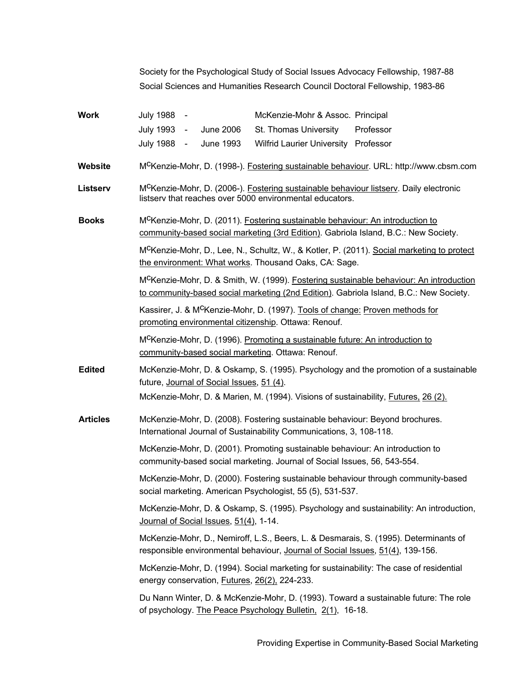Society for the Psychological Study of Social Issues Advocacy Fellowship, 1987-88 Social Sciences and Humanities Research Council Doctoral Fellowship, 1983-86

| <b>Work</b>     | July 1988 -<br>McKenzie-Mohr & Assoc. Principal                                                                                                                                               |
|-----------------|-----------------------------------------------------------------------------------------------------------------------------------------------------------------------------------------------|
|                 | <b>July 1993</b><br><b>June 2006</b><br>St. Thomas University<br>Professor<br>$\blacksquare$                                                                                                  |
|                 | July 1988 -<br>Wilfrid Laurier University Professor<br>June 1993                                                                                                                              |
| Website         | M <sup>C</sup> Kenzie-Mohr, D. (1998-). Fostering sustainable behaviour. URL: http://www.cbsm.com                                                                                             |
| Listserv        | M <sup>C</sup> Kenzie-Mohr, D. (2006-). Fostering sustainable behaviour listsery. Daily electronic<br>listserv that reaches over 5000 environmental educators.                                |
| <b>Books</b>    | MCKenzie-Mohr, D. (2011). Fostering sustainable behaviour: An introduction to<br>community-based social marketing (3rd Edition). Gabriola Island, B.C.: New Society.                          |
|                 | MCKenzie-Mohr, D., Lee, N., Schultz, W., & Kotler, P. (2011). Social marketing to protect<br>the environment: What works. Thousand Oaks, CA: Sage.                                            |
|                 | M <sup>C</sup> Kenzie-Mohr, D. & Smith, W. (1999). Fostering sustainable behaviour: An introduction<br>to community-based social marketing (2nd Edition). Gabriola Island, B.C.: New Society. |
|                 | Kassirer, J. & MCKenzie-Mohr, D. (1997). Tools of change: Proven methods for<br>promoting environmental citizenship. Ottawa: Renouf.                                                          |
|                 | M <sup>C</sup> Kenzie-Mohr, D. (1996). Promoting a sustainable future: An introduction to<br>community-based social marketing. Ottawa: Renouf.                                                |
| <b>Edited</b>   | McKenzie-Mohr, D. & Oskamp, S. (1995). Psychology and the promotion of a sustainable<br>future, Journal of Social Issues, 51 (4).                                                             |
|                 | McKenzie-Mohr, D. & Marien, M. (1994). Visions of sustainability, Futures, 26 (2).                                                                                                            |
| <b>Articles</b> | McKenzie-Mohr, D. (2008). Fostering sustainable behaviour: Beyond brochures.<br>International Journal of Sustainability Communications, 3, 108-118.                                           |
|                 | McKenzie-Mohr, D. (2001). Promoting sustainable behaviour: An introduction to<br>community-based social marketing. Journal of Social Issues, 56, 543-554.                                     |
|                 | McKenzie-Mohr, D. (2000). Fostering sustainable behaviour through community-based<br>social marketing. American Psychologist, 55 (5), 531-537.                                                |
|                 | McKenzie-Mohr, D. & Oskamp, S. (1995). Psychology and sustainability: An introduction,<br>Journal of Social Issues, 51(4), 1-14.                                                              |
|                 | McKenzie-Mohr, D., Nemiroff, L.S., Beers, L. & Desmarais, S. (1995). Determinants of<br>responsible environmental behaviour, Journal of Social Issues, 51(4), 139-156.                        |
|                 | McKenzie-Mohr, D. (1994). Social marketing for sustainability: The case of residential<br>energy conservation, <i>Futures</i> , 26(2), 224-233.                                               |
|                 | Du Nann Winter, D. & McKenzie-Mohr, D. (1993). Toward a sustainable future: The role<br>of psychology. The Peace Psychology Bulletin, 2(1), 16-18.                                            |